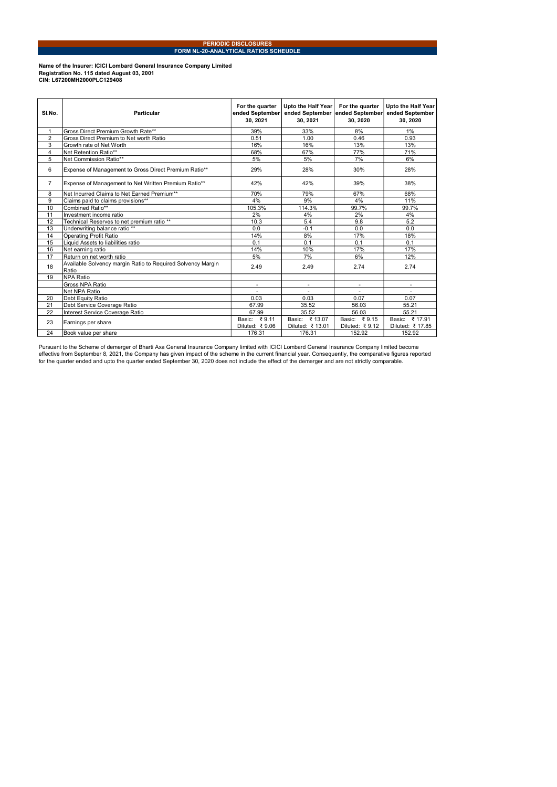## PERIODIC DISCLOSURES FORM NL-20-ANALYTICAL RATIOS SCHEUDLE

## Name of the Insurer: ICICI Lombard General Insurance Company Limited Registration No. 115 dated August 03, 2001 CIN: L67200MH2000PLC129408

| SI.No.         | Particular                                                           | For the quarter<br>ended September<br>30.2021 | Upto the Half Year<br>ended September ended September<br>30.2021 | For the quarter<br>30.2020     | Upto the Half Year<br>ended September<br>30.2020 |
|----------------|----------------------------------------------------------------------|-----------------------------------------------|------------------------------------------------------------------|--------------------------------|--------------------------------------------------|
| 1              | Gross Direct Premium Growth Rate**                                   | 39%                                           | 33%                                                              | 8%                             | 1%                                               |
| $\overline{2}$ | Gross Direct Premium to Net worth Ratio                              | 0.51                                          | 1.00                                                             | 0.46                           | 0.93                                             |
| 3              | Growth rate of Net Worth                                             | 16%                                           | 16%                                                              | 13%                            | 13%                                              |
| $\overline{4}$ | Net Retention Ratio**                                                | 68%                                           | 67%                                                              | 77%                            | 71%                                              |
| 5              | Net Commission Ratio**                                               | 5%                                            | 5%                                                               | 7%                             | 6%                                               |
| 6              | Expense of Management to Gross Direct Premium Ratio**                | 29%                                           | 28%                                                              | 30%                            | 28%                                              |
| $\overline{7}$ | Expense of Management to Net Written Premium Ratio**                 | 42%                                           | 42%                                                              | 39%                            | 38%                                              |
| 8              | Net Incurred Claims to Net Earned Premium**                          | 70%                                           | 79%                                                              | 67%                            | 68%                                              |
| 9              | Claims paid to claims provisions**                                   | 4%                                            | 9%                                                               | 4%                             | 11%                                              |
| 10             | Combined Ratio**                                                     | 105.3%                                        | 114.3%                                                           | 99.7%                          | 99.7%                                            |
| 11             | Investment income ratio                                              | 2%                                            | 4%                                                               | 2%                             | 4%                                               |
| 12             | Technical Reserves to net premium ratio **                           | 10.3                                          | 5.4                                                              | 9.8                            | 5.2                                              |
| 13             | Underwriting balance ratio **                                        | 0.0                                           | $-0.1$                                                           | 0.0                            | 0.0                                              |
| 14             | Operating Profit Ratio                                               | 14%                                           | 8%                                                               | 17%                            | 18%                                              |
| 15             | Liquid Assets to liabilities ratio                                   | 0.1                                           | 0.1                                                              | 0.1                            | 0.1                                              |
| 16             | Net earning ratio                                                    | 14%                                           | 10%                                                              | 17%                            | 17%                                              |
| 17             | Return on net worth ratio                                            | 5%                                            | 7%                                                               | 6%                             | 12%                                              |
| 18             | Available Solvency margin Ratio to Required Solvency Margin<br>Ratio | 2.49                                          | 2.49                                                             | 2.74                           | 2.74                                             |
| 19             | <b>NPA Ratio</b>                                                     |                                               |                                                                  |                                |                                                  |
|                | Gross NPA Ratio                                                      | ٠                                             |                                                                  |                                |                                                  |
|                | Net NPA Ratio                                                        |                                               |                                                                  |                                |                                                  |
| 20             | Debt Equity Ratio                                                    | 0.03                                          | 0.03                                                             | 0.07                           | 0.07                                             |
| 21             | Debt Service Coverage Ratio                                          | 67.99                                         | 35.52                                                            | 56.03                          | 55.21                                            |
| 22             | Interest Service Coverage Ratio                                      | 67.99                                         | 35.52                                                            | 56.03                          | 55.21                                            |
| 23             | Earnings per share                                                   | Basic: ₹9.11<br>Diluted: ₹9.06                | Basic: ₹13.07<br>Diluted: ₹ 13.01                                | Basic: ₹9.15<br>Diluted: ₹9.12 | Basic: ₹17.91<br>Diluted: ₹17.85                 |
| 24             | Book value per share                                                 | 176.31                                        | 176.31                                                           | 152.92                         | 152.92                                           |

Pursuant to the Scheme of demerger of Bharti Axa General Insurance Company limited with ICICI Lombard General Insurance Company limited become<br>effective from September 8, 2021, the Company has given impact of the scheme in